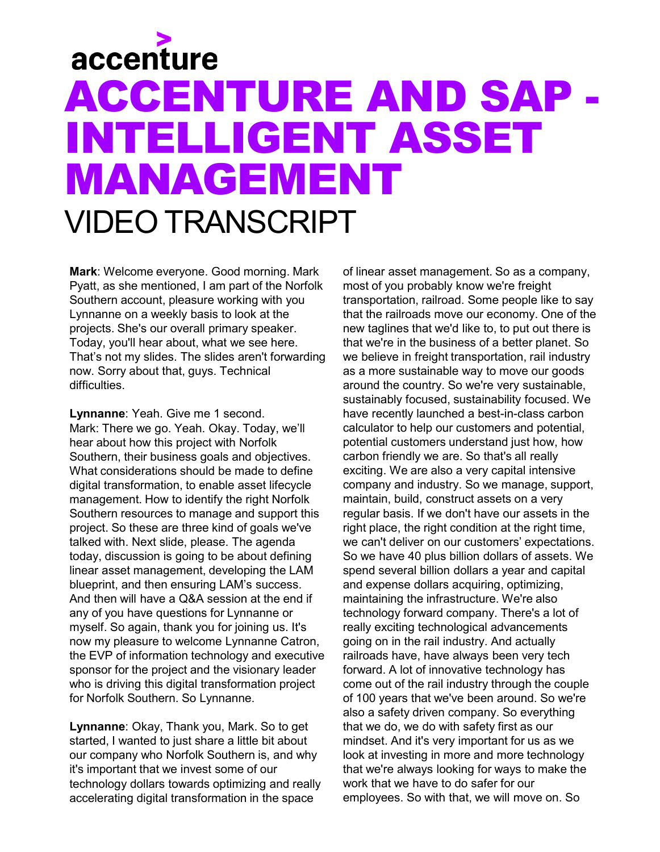## accenture ACCENTURE AND SAP - INTELLIGENT ASSET MANAGEMENT VIDEO TRANSCRIPT

**Mark**: Welcome everyone. Good morning. Mark Pyatt, as she mentioned, I am part of the Norfolk Southern account, pleasure working with you Lynnanne on a weekly basis to look at the projects. She's our overall primary speaker. Today, you'll hear about, what we see here. That's not my slides. The slides aren't forwarding now. Sorry about that, guys. Technical difficulties

**Lynnanne**: Yeah. Give me 1 second. Mark: There we go. Yeah. Okay. Today, we'll hear about how this project with Norfolk Southern, their business goals and objectives. What considerations should be made to define digital transformation, to enable asset lifecycle management. How to identify the right Norfolk Southern resources to manage and support this project. So these are three kind of goals we've talked with. Next slide, please. The agenda today, discussion is going to be about defining linear asset management, developing the LAM blueprint, and then ensuring LAM's success. And then will have a Q&A session at the end if any of you have questions for Lynnanne or myself. So again, thank you for joining us. It's now my pleasure to welcome Lynnanne Catron, the EVP of information technology and executive sponsor for the project and the visionary leader who is driving this digital transformation project for Norfolk Southern. So Lynnanne.

**Lynnanne**: Okay, Thank you, Mark. So to get started, I wanted to just share a little bit about our company who Norfolk Southern is, and why it's important that we invest some of our technology dollars towards optimizing and really accelerating digital transformation in the space

of linear asset management. So as a company, most of you probably know we're freight transportation, railroad. Some people like to say that the railroads move our economy. One of the new taglines that we'd like to, to put out there is that we're in the business of a better planet. So we believe in freight transportation, rail industry as a more sustainable way to move our goods around the country. So we're very sustainable, sustainably focused, sustainability focused. We have recently launched a best-in-class carbon calculator to help our customers and potential, potential customers understand just how, how carbon friendly we are. So that's all really exciting. We are also a very capital intensive company and industry. So we manage, support, maintain, build, construct assets on a very regular basis. If we don't have our assets in the right place, the right condition at the right time, we can't deliver on our customers' expectations. So we have 40 plus billion dollars of assets. We spend several billion dollars a year and capital and expense dollars acquiring, optimizing, maintaining the infrastructure. We're also technology forward company. There's a lot of really exciting technological advancements going on in the rail industry. And actually railroads have, have always been very tech forward. A lot of innovative technology has come out of the rail industry through the couple of 100 years that we've been around. So we're also a safety driven company. So everything that we do, we do with safety first as our mindset. And it's very important for us as we look at investing in more and more technology that we're always looking for ways to make the work that we have to do safer for our employees. So with that, we will move on. So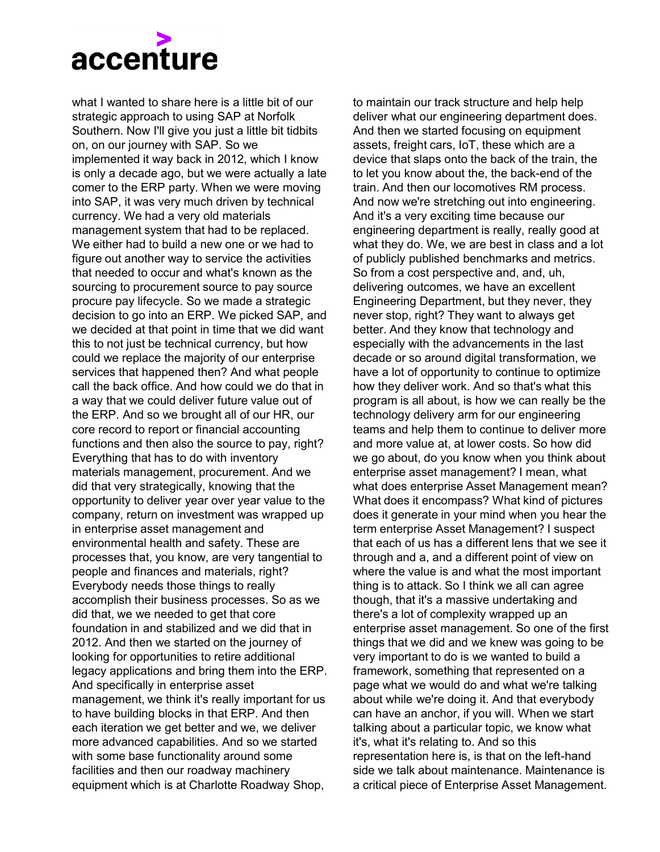

what I wanted to share here is a little bit of our strategic approach to using SAP at Norfolk Southern. Now I'll give you just a little bit tidbits on, on our journey with SAP. So we implemented it way back in 2012, which I know is only a decade ago, but we were actually a late comer to the ERP party. When we were moving into SAP, it was very much driven by technical currency. We had a very old materials management system that had to be replaced. We either had to build a new one or we had to figure out another way to service the activities that needed to occur and what's known as the sourcing to procurement source to pay source procure pay lifecycle. So we made a strategic decision to go into an ERP. We picked SAP, and we decided at that point in time that we did want this to not just be technical currency, but how could we replace the majority of our enterprise services that happened then? And what people call the back office. And how could we do that in a way that we could deliver future value out of the ERP. And so we brought all of our HR, our core record to report or financial accounting functions and then also the source to pay, right? Everything that has to do with inventory materials management, procurement. And we did that very strategically, knowing that the opportunity to deliver year over year value to the company, return on investment was wrapped up in enterprise asset management and environmental health and safety. These are processes that, you know, are very tangential to people and finances and materials, right? Everybody needs those things to really accomplish their business processes. So as we did that, we we needed to get that core foundation in and stabilized and we did that in 2012. And then we started on the journey of looking for opportunities to retire additional legacy applications and bring them into the ERP. And specifically in enterprise asset management, we think it's really important for us to have building blocks in that ERP. And then each iteration we get better and we, we deliver more advanced capabilities. And so we started with some base functionality around some facilities and then our roadway machinery equipment which is at Charlotte Roadway Shop,

to maintain our track structure and help help deliver what our engineering department does. And then we started focusing on equipment assets, freight cars, IoT, these which are a device that slaps onto the back of the train, the to let you know about the, the back-end of the train. And then our locomotives RM process. And now we're stretching out into engineering. And it's a very exciting time because our engineering department is really, really good at what they do. We, we are best in class and a lot of publicly published benchmarks and metrics. So from a cost perspective and, and, uh, delivering outcomes, we have an excellent Engineering Department, but they never, they never stop, right? They want to always get better. And they know that technology and especially with the advancements in the last decade or so around digital transformation, we have a lot of opportunity to continue to optimize how they deliver work. And so that's what this program is all about, is how we can really be the technology delivery arm for our engineering teams and help them to continue to deliver more and more value at, at lower costs. So how did we go about, do you know when you think about enterprise asset management? I mean, what what does enterprise Asset Management mean? What does it encompass? What kind of pictures does it generate in your mind when you hear the term enterprise Asset Management? I suspect that each of us has a different lens that we see it through and a, and a different point of view on where the value is and what the most important thing is to attack. So I think we all can agree though, that it's a massive undertaking and there's a lot of complexity wrapped up an enterprise asset management. So one of the first things that we did and we knew was going to be very important to do is we wanted to build a framework, something that represented on a page what we would do and what we're talking about while we're doing it. And that everybody can have an anchor, if you will. When we start talking about a particular topic, we know what it's, what it's relating to. And so this representation here is, is that on the left-hand side we talk about maintenance. Maintenance is a critical piece of Enterprise Asset Management.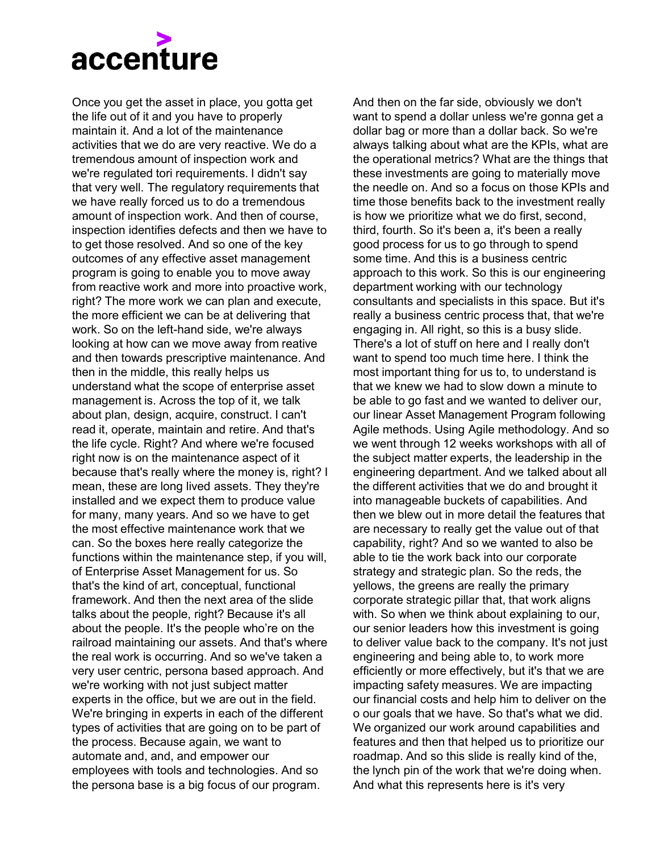

Once you get the asset in place, you gotta get the life out of it and you have to properly maintain it. And a lot of the maintenance activities that we do are very reactive. We do a tremendous amount of inspection work and we're regulated tori requirements. I didn't say that very well. The regulatory requirements that we have really forced us to do a tremendous amount of inspection work. And then of course, inspection identifies defects and then we have to to get those resolved. And so one of the key outcomes of any effective asset management program is going to enable you to move away from reactive work and more into proactive work, right? The more work we can plan and execute, the more efficient we can be at delivering that work. So on the left-hand side, we're always looking at how can we move away from reative and then towards prescriptive maintenance. And then in the middle, this really helps us understand what the scope of enterprise asset management is. Across the top of it, we talk about plan, design, acquire, construct. I can't read it, operate, maintain and retire. And that's the life cycle. Right? And where we're focused right now is on the maintenance aspect of it because that's really where the money is, right? I mean, these are long lived assets. They they're installed and we expect them to produce value for many, many years. And so we have to get the most effective maintenance work that we can. So the boxes here really categorize the functions within the maintenance step, if you will, of Enterprise Asset Management for us. So that's the kind of art, conceptual, functional framework. And then the next area of the slide talks about the people, right? Because it's all about the people. It's the people who're on the railroad maintaining our assets. And that's where the real work is occurring. And so we've taken a very user centric, persona based approach. And we're working with not just subject matter experts in the office, but we are out in the field. We're bringing in experts in each of the different types of activities that are going on to be part of the process. Because again, we want to automate and, and, and empower our employees with tools and technologies. And so the persona base is a big focus of our program.

And then on the far side, obviously we don't want to spend a dollar unless we're gonna get a dollar bag or more than a dollar back. So we're always talking about what are the KPIs, what are the operational metrics? What are the things that these investments are going to materially move the needle on. And so a focus on those KPIs and time those benefits back to the investment really is how we prioritize what we do first, second, third, fourth. So it's been a, it's been a really good process for us to go through to spend some time. And this is a business centric approach to this work. So this is our engineering department working with our technology consultants and specialists in this space. But it's really a business centric process that, that we're engaging in. All right, so this is a busy slide. There's a lot of stuff on here and I really don't want to spend too much time here. I think the most important thing for us to, to understand is that we knew we had to slow down a minute to be able to go fast and we wanted to deliver our, our linear Asset Management Program following Agile methods. Using Agile methodology. And so we went through 12 weeks workshops with all of the subject matter experts, the leadership in the engineering department. And we talked about all the different activities that we do and brought it into manageable buckets of capabilities. And then we blew out in more detail the features that are necessary to really get the value out of that capability, right? And so we wanted to also be able to tie the work back into our corporate strategy and strategic plan. So the reds, the yellows, the greens are really the primary corporate strategic pillar that, that work aligns with. So when we think about explaining to our, our senior leaders how this investment is going to deliver value back to the company. It's not just engineering and being able to, to work more efficiently or more effectively, but it's that we are impacting safety measures. We are impacting our financial costs and help him to deliver on the o our goals that we have. So that's what we did. We organized our work around capabilities and features and then that helped us to prioritize our roadmap. And so this slide is really kind of the, the lynch pin of the work that we're doing when. And what this represents here is it's very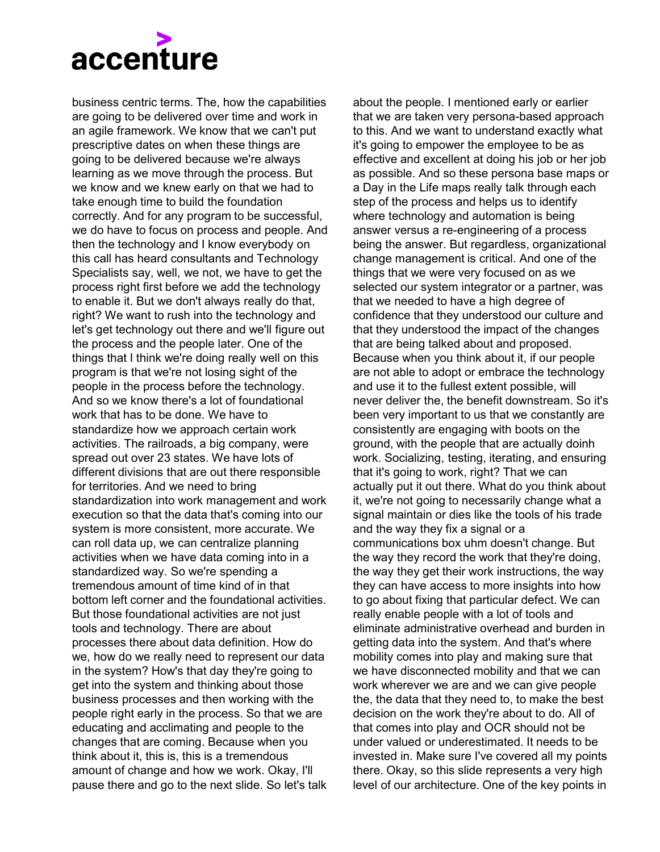## accenture

business centric terms. The, how the capabilities are going to be delivered over time and work in an agile framework. We know that we can't put prescriptive dates on when these things are going to be delivered because we're always learning as we move through the process. But we know and we knew early on that we had to take enough time to build the foundation correctly. And for any program to be successful, we do have to focus on process and people. And then the technology and I know everybody on this call has heard consultants and Technology Specialists say, well, we not, we have to get the process right first before we add the technology to enable it. But we don't always really do that, right? We want to rush into the technology and let's get technology out there and we'll figure out the process and the people later. One of the things that I think we're doing really well on this program is that we're not losing sight of the people in the process before the technology. And so we know there's a lot of foundational work that has to be done. We have to standardize how we approach certain work activities. The railroads, a big company, were spread out over 23 states. We have lots of different divisions that are out there responsible for territories. And we need to bring standardization into work management and work execution so that the data that's coming into our system is more consistent, more accurate. We can roll data up, we can centralize planning activities when we have data coming into in a standardized way. So we're spending a tremendous amount of time kind of in that bottom left corner and the foundational activities. But those foundational activities are not just tools and technology. There are about processes there about data definition. How do we, how do we really need to represent our data in the system? How's that day they're going to get into the system and thinking about those business processes and then working with the people right early in the process. So that we are educating and acclimating and people to the changes that are coming. Because when you think about it, this is, this is a tremendous amount of change and how we work. Okay, I'll pause there and go to the next slide. So let's talk

about the people. I mentioned early or earlier that we are taken very persona-based approach to this. And we want to understand exactly what it's going to empower the employee to be as effective and excellent at doing his job or her job as possible. And so these persona base maps or a Day in the Life maps really talk through each step of the process and helps us to identify where technology and automation is being answer versus a re-engineering of a process being the answer. But regardless, organizational change management is critical. And one of the things that we were very focused on as we selected our system integrator or a partner, was that we needed to have a high degree of confidence that they understood our culture and that they understood the impact of the changes that are being talked about and proposed. Because when you think about it, if our people are not able to adopt or embrace the technology and use it to the fullest extent possible, will never deliver the, the benefit downstream. So it's been very important to us that we constantly are consistently are engaging with boots on the ground, with the people that are actually doinh work. Socializing, testing, iterating, and ensuring that it's going to work, right? That we can actually put it out there. What do you think about it, we're not going to necessarily change what a signal maintain or dies like the tools of his trade and the way they fix a signal or a communications box uhm doesn't change. But the way they record the work that they're doing, the way they get their work instructions, the way they can have access to more insights into how to go about fixing that particular defect. We can really enable people with a lot of tools and eliminate administrative overhead and burden in getting data into the system. And that's where mobility comes into play and making sure that we have disconnected mobility and that we can work wherever we are and we can give people the, the data that they need to, to make the best decision on the work they're about to do. All of that comes into play and OCR should not be under valued or underestimated. It needs to be invested in. Make sure I've covered all my points there. Okay, so this slide represents a very high level of our architecture. One of the key points in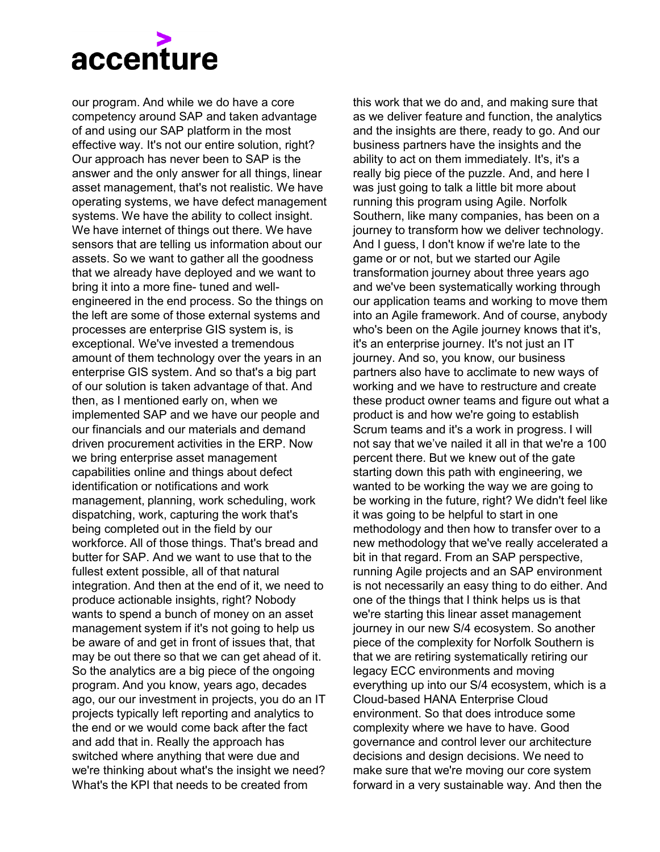

our program. And while we do have a core competency around SAP and taken advantage of and using our SAP platform in the most effective way. It's not our entire solution, right? Our approach has never been to SAP is the answer and the only answer for all things, linear asset management, that's not realistic. We have operating systems, we have defect management systems. We have the ability to collect insight. We have internet of things out there. We have sensors that are telling us information about our assets. So we want to gather all the goodness that we already have deployed and we want to bring it into a more fine- tuned and wellengineered in the end process. So the things on the left are some of those external systems and processes are enterprise GIS system is, is exceptional. We've invested a tremendous amount of them technology over the years in an enterprise GIS system. And so that's a big part of our solution is taken advantage of that. And then, as I mentioned early on, when we implemented SAP and we have our people and our financials and our materials and demand driven procurement activities in the ERP. Now we bring enterprise asset management capabilities online and things about defect identification or notifications and work management, planning, work scheduling, work dispatching, work, capturing the work that's being completed out in the field by our workforce. All of those things. That's bread and butter for SAP. And we want to use that to the fullest extent possible, all of that natural integration. And then at the end of it, we need to produce actionable insights, right? Nobody wants to spend a bunch of money on an asset management system if it's not going to help us be aware of and get in front of issues that, that may be out there so that we can get ahead of it. So the analytics are a big piece of the ongoing program. And you know, years ago, decades ago, our our investment in projects, you do an IT projects typically left reporting and analytics to the end or we would come back after the fact and add that in. Really the approach has switched where anything that were due and we're thinking about what's the insight we need? What's the KPI that needs to be created from

this work that we do and, and making sure that as we deliver feature and function, the analytics and the insights are there, ready to go. And our business partners have the insights and the ability to act on them immediately. It's, it's a really big piece of the puzzle. And, and here I was just going to talk a little bit more about running this program using Agile. Norfolk Southern, like many companies, has been on a journey to transform how we deliver technology. And I guess, I don't know if we're late to the game or or not, but we started our Agile transformation journey about three years ago and we've been systematically working through our application teams and working to move them into an Agile framework. And of course, anybody who's been on the Agile journey knows that it's, it's an enterprise journey. It's not just an IT journey. And so, you know, our business partners also have to acclimate to new ways of working and we have to restructure and create these product owner teams and figure out what a product is and how we're going to establish Scrum teams and it's a work in progress. I will not say that we've nailed it all in that we're a 100 percent there. But we knew out of the gate starting down this path with engineering, we wanted to be working the way we are going to be working in the future, right? We didn't feel like it was going to be helpful to start in one methodology and then how to transfer over to a new methodology that we've really accelerated a bit in that regard. From an SAP perspective, running Agile projects and an SAP environment is not necessarily an easy thing to do either. And one of the things that I think helps us is that we're starting this linear asset management journey in our new S/4 ecosystem. So another piece of the complexity for Norfolk Southern is that we are retiring systematically retiring our legacy ECC environments and moving everything up into our S/4 ecosystem, which is a Cloud-based HANA Enterprise Cloud environment. So that does introduce some complexity where we have to have. Good governance and control lever our architecture decisions and design decisions. We need to make sure that we're moving our core system forward in a very sustainable way. And then the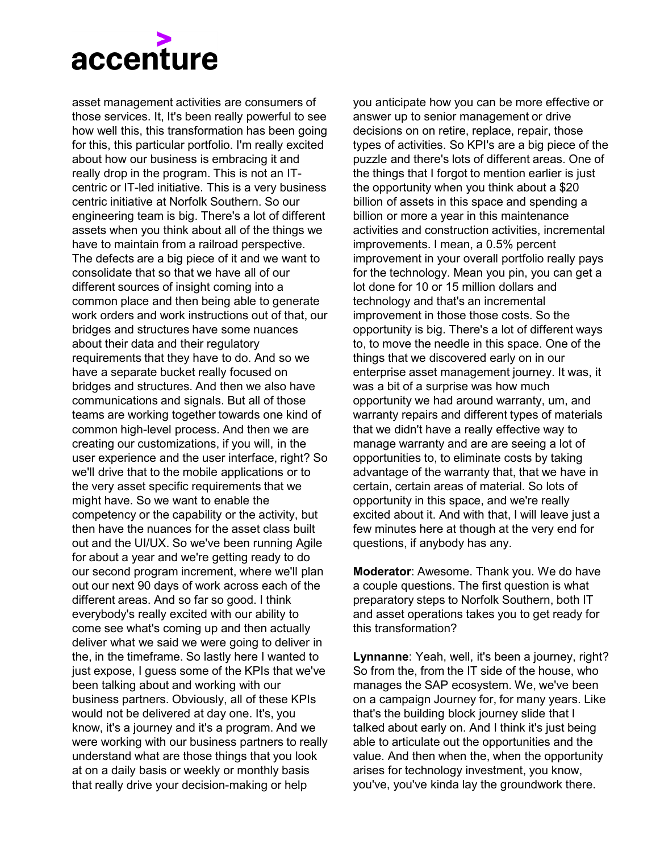## accenture

asset management activities are consumers of those services. It, It's been really powerful to see how well this, this transformation has been going for this, this particular portfolio. I'm really excited about how our business is embracing it and really drop in the program. This is not an ITcentric or IT-led initiative. This is a very business centric initiative at Norfolk Southern. So our engineering team is big. There's a lot of different assets when you think about all of the things we have to maintain from a railroad perspective. The defects are a big piece of it and we want to consolidate that so that we have all of our different sources of insight coming into a common place and then being able to generate work orders and work instructions out of that, our bridges and structures have some nuances about their data and their regulatory requirements that they have to do. And so we have a separate bucket really focused on bridges and structures. And then we also have communications and signals. But all of those teams are working together towards one kind of common high-level process. And then we are creating our customizations, if you will, in the user experience and the user interface, right? So we'll drive that to the mobile applications or to the very asset specific requirements that we might have. So we want to enable the competency or the capability or the activity, but then have the nuances for the asset class built out and the UI/UX. So we've been running Agile for about a year and we're getting ready to do our second program increment, where we'll plan out our next 90 days of work across each of the different areas. And so far so good. I think everybody's really excited with our ability to come see what's coming up and then actually deliver what we said we were going to deliver in the, in the timeframe. So lastly here I wanted to just expose, I guess some of the KPIs that we've been talking about and working with our business partners. Obviously, all of these KPIs would not be delivered at day one. It's, you know, it's a journey and it's a program. And we were working with our business partners to really understand what are those things that you look at on a daily basis or weekly or monthly basis that really drive your decision-making or help

you anticipate how you can be more effective or answer up to senior management or drive decisions on on retire, replace, repair, those types of activities. So KPI's are a big piece of the puzzle and there's lots of different areas. One of the things that I forgot to mention earlier is just the opportunity when you think about a \$20 billion of assets in this space and spending a billion or more a year in this maintenance activities and construction activities, incremental improvements. I mean, a 0.5% percent improvement in your overall portfolio really pays for the technology. Mean you pin, you can get a lot done for 10 or 15 million dollars and technology and that's an incremental improvement in those those costs. So the opportunity is big. There's a lot of different ways to, to move the needle in this space. One of the things that we discovered early on in our enterprise asset management journey. It was, it was a bit of a surprise was how much opportunity we had around warranty, um, and warranty repairs and different types of materials that we didn't have a really effective way to manage warranty and are are seeing a lot of opportunities to, to eliminate costs by taking advantage of the warranty that, that we have in certain, certain areas of material. So lots of opportunity in this space, and we're really excited about it. And with that, I will leave just a few minutes here at though at the very end for questions, if anybody has any.

**Moderator**: Awesome. Thank you. We do have a couple questions. The first question is what preparatory steps to Norfolk Southern, both IT and asset operations takes you to get ready for this transformation?

**Lynnanne**: Yeah, well, it's been a journey, right? So from the, from the IT side of the house, who manages the SAP ecosystem. We, we've been on a campaign Journey for, for many years. Like that's the building block journey slide that I talked about early on. And I think it's just being able to articulate out the opportunities and the value. And then when the, when the opportunity arises for technology investment, you know, you've, you've kinda lay the groundwork there.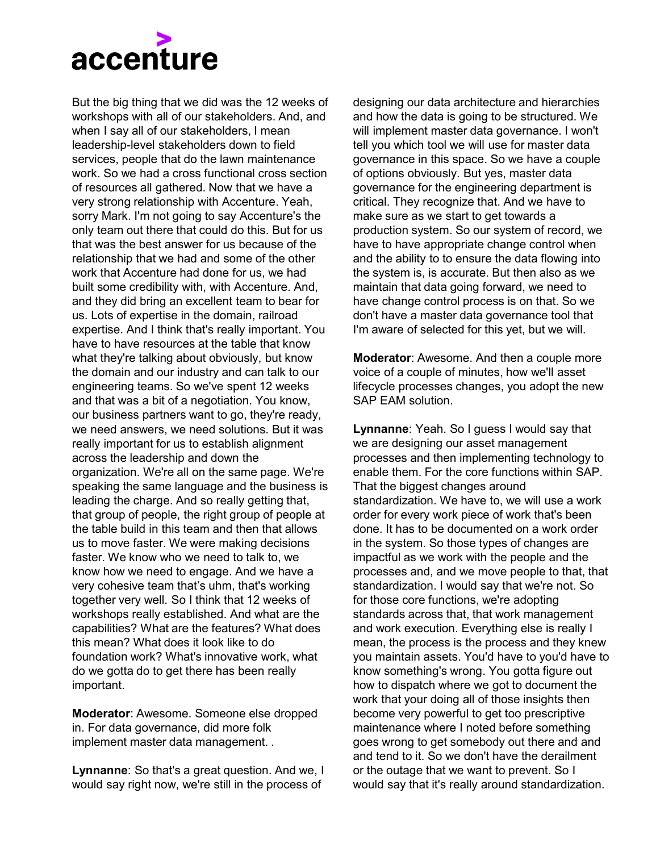## accenture

But the big thing that we did was the 12 weeks of workshops with all of our stakeholders. And, and when I say all of our stakeholders. I mean leadership-level stakeholders down to field services, people that do the lawn maintenance work. So we had a cross functional cross section of resources all gathered. Now that we have a very strong relationship with Accenture. Yeah, sorry Mark. I'm not going to say Accenture's the only team out there that could do this. But for us that was the best answer for us because of the relationship that we had and some of the other work that Accenture had done for us, we had built some credibility with, with Accenture. And, and they did bring an excellent team to bear for us. Lots of expertise in the domain, railroad expertise. And I think that's really important. You have to have resources at the table that know what they're talking about obviously, but know the domain and our industry and can talk to our engineering teams. So we've spent 12 weeks and that was a bit of a negotiation. You know, our business partners want to go, they're ready, we need answers, we need solutions. But it was really important for us to establish alignment across the leadership and down the organization. We're all on the same page. We're speaking the same language and the business is leading the charge. And so really getting that, that group of people, the right group of people at the table build in this team and then that allows us to move faster. We were making decisions faster. We know who we need to talk to, we know how we need to engage. And we have a very cohesive team that's uhm, that's working together very well. So I think that 12 weeks of workshops really established. And what are the capabilities? What are the features? What does this mean? What does it look like to do foundation work? What's innovative work, what do we gotta do to get there has been really important.

**Moderator**: Awesome. Someone else dropped in. For data governance, did more folk implement master data management. .

**Lynnanne:** So that's a great question. And we, I would say right now, we're still in the process of

designing our data architecture and hierarchies and how the data is going to be structured. We will implement master data governance. I won't tell you which tool we will use for master data governance in this space. So we have a couple of options obviously. But yes, master data governance for the engineering department is critical. They recognize that. And we have to make sure as we start to get towards a production system. So our system of record, we have to have appropriate change control when and the ability to to ensure the data flowing into the system is, is accurate. But then also as we maintain that data going forward, we need to have change control process is on that. So we don't have a master data governance tool that I'm aware of selected for this yet, but we will.

**Moderator**: Awesome. And then a couple more voice of a couple of minutes, how we'll asset lifecycle processes changes, you adopt the new SAP EAM solution.

**Lynnanne**: Yeah. So I guess I would say that we are designing our asset management processes and then implementing technology to enable them. For the core functions within SAP. That the biggest changes around standardization. We have to, we will use a work order for every work piece of work that's been done. It has to be documented on a work order in the system. So those types of changes are impactful as we work with the people and the processes and, and we move people to that, that standardization. I would say that we're not. So for those core functions, we're adopting standards across that, that work management and work execution. Everything else is really I mean, the process is the process and they knew you maintain assets. You'd have to you'd have to know something's wrong. You gotta figure out how to dispatch where we got to document the work that your doing all of those insights then become very powerful to get too prescriptive maintenance where I noted before something goes wrong to get somebody out there and and and tend to it. So we don't have the derailment or the outage that we want to prevent. So I would say that it's really around standardization.